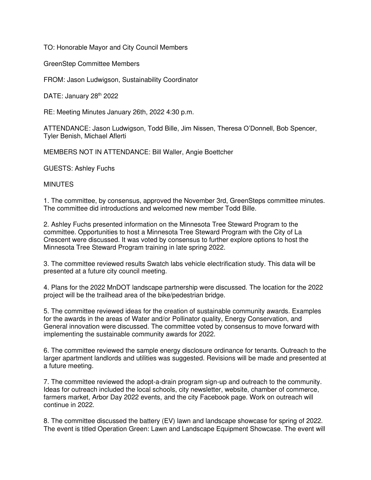TO: Honorable Mayor and City Council Members

GreenStep Committee Members

FROM: Jason Ludwigson, Sustainability Coordinator

DATE: January 28<sup>th</sup> 2022

RE: Meeting Minutes January 26th, 2022 4:30 p.m.

ATTENDANCE: Jason Ludwigson, Todd Bille, Jim Nissen, Theresa O'Donnell, Bob Spencer, Tyler Benish, Michael Aflerti

MEMBERS NOT IN ATTENDANCE: Bill Waller, Angie Boettcher

GUESTS: Ashley Fuchs

## **MINUTES**

1. The committee, by consensus, approved the November 3rd, GreenSteps committee minutes. The committee did introductions and welcomed new member Todd Bille.

2. Ashley Fuchs presented information on the Minnesota Tree Steward Program to the committee. Opportunities to host a Minnesota Tree Steward Program with the City of La Crescent were discussed. It was voted by consensus to further explore options to host the Minnesota Tree Steward Program training in late spring 2022.

3. The committee reviewed results Swatch labs vehicle electrification study. This data will be presented at a future city council meeting.

4. Plans for the 2022 MnDOT landscape partnership were discussed. The location for the 2022 project will be the trailhead area of the bike/pedestrian bridge.

5. The committee reviewed ideas for the creation of sustainable community awards. Examples for the awards in the areas of Water and/or Pollinator quality, Energy Conservation, and General innovation were discussed. The committee voted by consensus to move forward with implementing the sustainable community awards for 2022.

6. The committee reviewed the sample energy disclosure ordinance for tenants. Outreach to the larger apartment landlords and utilities was suggested. Revisions will be made and presented at a future meeting.

7. The committee reviewed the adopt-a-drain program sign-up and outreach to the community. Ideas for outreach included the local schools, city newsletter, website, chamber of commerce, farmers market, Arbor Day 2022 events, and the city Facebook page. Work on outreach will continue in 2022.

8. The committee discussed the battery (EV) lawn and landscape showcase for spring of 2022. The event is titled Operation Green: Lawn and Landscape Equipment Showcase. The event will